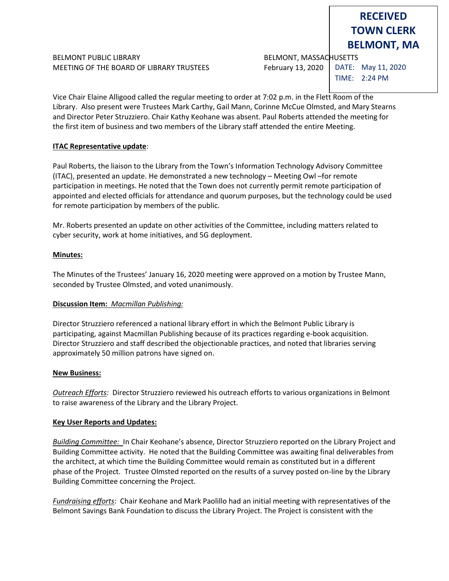# BELMONT PUBLIC LIBRARY **BELMONT, MASSACHUSETTS** MEETING OF THE BOARD OF LIBRARY TRUSTEES February 13, 2020

**BELMONT, MA**

**RECEIVED TOWN CLERK**

DATE: May 11, 2020 TIME: 2:24 PM

Vice Chair Elaine Alligood called the regular meeting to order at 7:02 p.m. in the Flett Room of the Library. Also present were Trustees Mark Carthy, Gail Mann, Corinne McCue Olmsted, and Mary Stearns and Director Peter Struzziero. Chair Kathy Keohane was absent. Paul Roberts attended the meeting for the first item of business and two members of the Library staff attended the entire Meeting.

## **ITAC Representative update**:

Paul Roberts, the liaison to the Library from the Town's Information Technology Advisory Committee (ITAC), presented an update. He demonstrated a new technology – Meeting Owl –for remote participation in meetings. He noted that the Town does not currently permit remote participation of appointed and elected officials for attendance and quorum purposes, but the technology could be used for remote participation by members of the public.

Mr. Roberts presented an update on other activities of the Committee, including matters related to cyber security, work at home initiatives, and 5G deployment.

## **Minutes:**

The Minutes of the Trustees' January 16, 2020 meeting were approved on a motion by Trustee Mann, seconded by Trustee Olmsted, and voted unanimously.

#### **Discussion Item:** *Macmillan Publishing:*

Director Struzziero referenced a national library effort in which the Belmont Public Library is participating, against Macmillan Publishing because of its practices regarding e-book acquisition. Director Struzziero and staff described the objectionable practices, and noted that libraries serving approximately 50 million patrons have signed on.

#### **New Business:**

*Outreach Efforts:* Director Struzziero reviewed his outreach efforts to various organizations in Belmont to raise awareness of the Library and the Library Project.

# **Key User Reports and Updates:**

*Building Committee:*In Chair Keohane's absence, Director Struzziero reported on the Library Project and Building Committee activity. He noted that the Building Committee was awaiting final deliverables from the architect, at which time the Building Committee would remain as constituted but in a different phase of the Project. Trustee Olmsted reported on the results of a survey posted on-line by the Library Building Committee concerning the Project.

*Fundraising efforts*: Chair Keohane and Mark Paolillo had an initial meeting with representatives of the Belmont Savings Bank Foundation to discuss the Library Project. The Project is consistent with the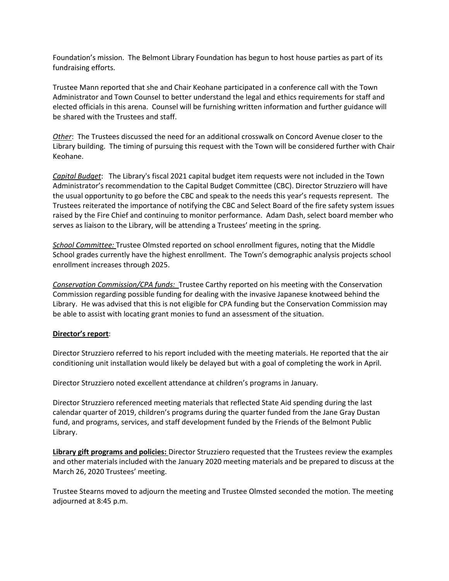Foundation's mission. The Belmont Library Foundation has begun to host house parties as part of its fundraising efforts.

Trustee Mann reported that she and Chair Keohane participated in a conference call with the Town Administrator and Town Counsel to better understand the legal and ethics requirements for staff and elected officials in this arena. Counsel will be furnishing written information and further guidance will be shared with the Trustees and staff.

*Other*: The Trustees discussed the need for an additional crosswalk on Concord Avenue closer to the Library building. The timing of pursuing this request with the Town will be considered further with Chair Keohane.

*Capital Budget*: The Library's fiscal 2021 capital budget item requests were not included in the Town Administrator's recommendation to the Capital Budget Committee (CBC). Director Struzziero will have the usual opportunity to go before the CBC and speak to the needs this year's requests represent. The Trustees reiterated the importance of notifying the CBC and Select Board of the fire safety system issues raised by the Fire Chief and continuing to monitor performance. Adam Dash, select board member who serves as liaison to the Library, will be attending a Trustees' meeting in the spring.

*School Committee:* Trustee Olmsted reported on school enrollment figures, noting that the Middle School grades currently have the highest enrollment. The Town's demographic analysis projects school enrollment increases through 2025.

*Conservation Commission/CPA funds:* Trustee Carthy reported on his meeting with the Conservation Commission regarding possible funding for dealing with the invasive Japanese knotweed behind the Library. He was advised that this is not eligible for CPA funding but the Conservation Commission may be able to assist with locating grant monies to fund an assessment of the situation.

#### **Director's report**:

Director Struzziero referred to his report included with the meeting materials. He reported that the air conditioning unit installation would likely be delayed but with a goal of completing the work in April.

Director Struzziero noted excellent attendance at children's programs in January.

Director Struzziero referenced meeting materials that reflected State Aid spending during the last calendar quarter of 2019, children's programs during the quarter funded from the Jane Gray Dustan fund, and programs, services, and staff development funded by the Friends of the Belmont Public Library.

**Library gift programs and policies:** Director Struzziero requested that the Trustees review the examples and other materials included with the January 2020 meeting materials and be prepared to discuss at the March 26, 2020 Trustees' meeting.

Trustee Stearns moved to adjourn the meeting and Trustee Olmsted seconded the motion. The meeting adjourned at 8:45 p.m.